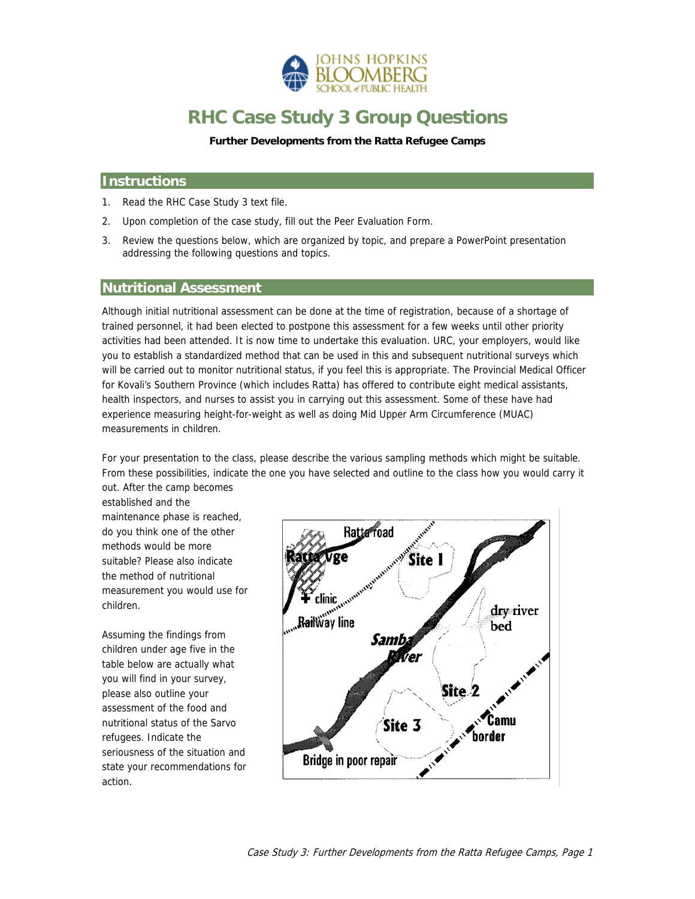

# **RHC Case Study 3 Group Questions**

**Further Developments from the Ratta Refugee Camps**

## **Instructions**

- 1. Read the RHC Case Study 3 text file.
- 2. Upon completion of the case study, fill out the Peer Evaluation Form.
- 3. Review the questions below, which are organized by topic, and prepare a PowerPoint presentation addressing the following questions and topics.

#### **Nutritional Assessment**

Although initial nutritional assessment can be done at the time of registration, because of a shortage of trained personnel, it had been elected to postpone this assessment for a few weeks until other priority activities had been attended. It is now time to undertake this evaluation. URC, your employers, would like you to establish a standardized method that can be used in this and subsequent nutritional surveys which will be carried out to monitor nutritional status, if you feel this is appropriate. The Provincial Medical Officer for Kovali's Southern Province (which includes Ratta) has offered to contribute eight medical assistants, health inspectors, and nurses to assist you in carrying out this assessment. Some of these have had experience measuring height-for-weight as well as doing Mid Upper Arm Circumference (MUAC) measurements in children.

For your presentation to the class, please describe the various sampling methods which might be suitable. From these possibilities, indicate the one you have selected and outline to the class how you would carry it out. After the camp becomes

established and the maintenance phase is reached, do you think one of the other methods would be more suitable? Please also indicate the method of nutritional measurement you would use for children.

Assuming the findings from children under age five in the table below are actually what you will find in your survey, please also outline your assessment of the food and nutritional status of the Sarvo refugees. Indicate the seriousness of the situation and state your recommendations for action.

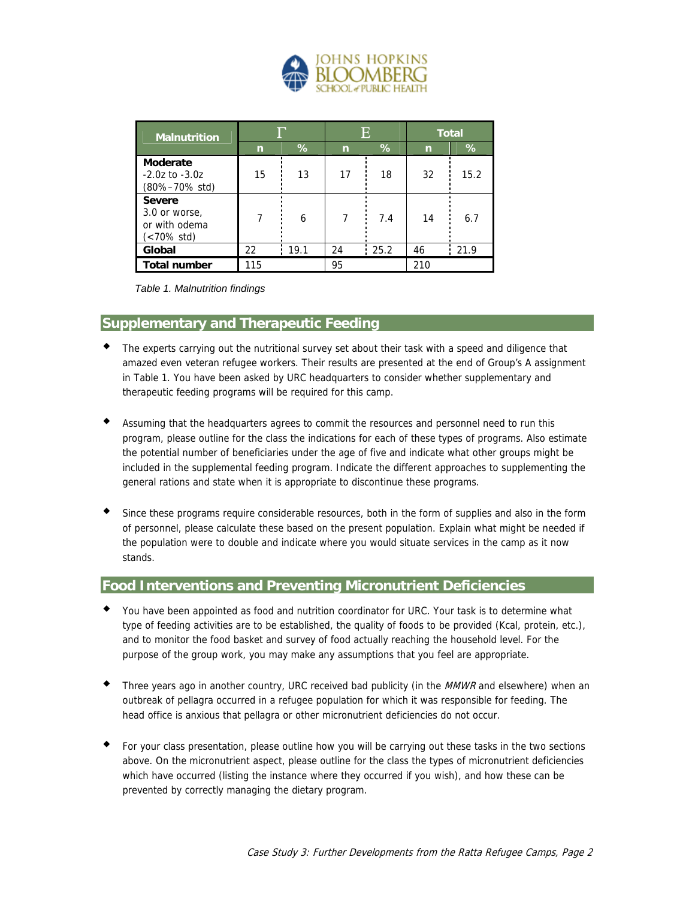

| <b>Malnutrition</b>                                           |              |      | E  |      | <b>Total</b> |      |
|---------------------------------------------------------------|--------------|------|----|------|--------------|------|
|                                                               | $\mathsf{n}$ | %    | n  | %    | $\mathsf{r}$ | %    |
| Moderate<br>$-2.0z$ to $-3.0z$<br>(80%-70% std)               | 15           | 13   | 17 | 18   | 32           | 15.2 |
| <b>Severe</b><br>3.0 or worse,<br>or with odema<br>(<70% std) |              | 6    | 7  | 7.4  | 14           | 6.7  |
| Global                                                        | 22           | 19.1 | 24 | 25.2 | 46           | 21.9 |
| <b>Total number</b>                                           | 115          |      | 95 |      | 210          |      |

*Table 1. Malnutrition findings* 

#### **Supplementary and Therapeutic Feeding**

- The experts carrying out the nutritional survey set about their task with a speed and diligence that amazed even veteran refugee workers. Their results are presented at the end of Group's A assignment in Table 1. You have been asked by URC headquarters to consider whether supplementary and therapeutic feeding programs will be required for this camp.
- Assuming that the headquarters agrees to commit the resources and personnel need to run this program, please outline for the class the indications for each of these types of programs. Also estimate the potential number of beneficiaries under the age of five and indicate what other groups might be included in the supplemental feeding program. Indicate the different approaches to supplementing the general rations and state when it is appropriate to discontinue these programs.
- Since these programs require considerable resources, both in the form of supplies and also in the form of personnel, please calculate these based on the present population. Explain what might be needed if the population were to double and indicate where you would situate services in the camp as it now stands.

#### **Food Interventions and Preventing Micronutrient Deficiencies**

- You have been appointed as food and nutrition coordinator for URC. Your task is to determine what type of feeding activities are to be established, the quality of foods to be provided (Kcal, protein, etc.), and to monitor the food basket and survey of food actually reaching the household level. For the purpose of the group work, you may make any assumptions that you feel are appropriate.
- Three years ago in another country, URC received bad publicity (in the MMWR and elsewhere) when an outbreak of pellagra occurred in a refugee population for which it was responsible for feeding. The head office is anxious that pellagra or other micronutrient deficiencies do not occur.
- For your class presentation, please outline how you will be carrying out these tasks in the two sections above. On the micronutrient aspect, please outline for the class the types of micronutrient deficiencies which have occurred (listing the instance where they occurred if you wish), and how these can be prevented by correctly managing the dietary program.